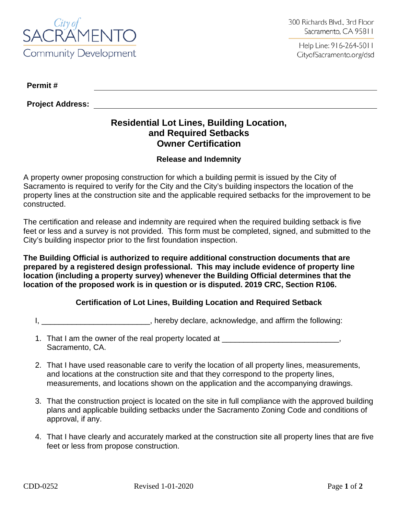

Help Line: 916-264-5011 CityofSacramento.org/dsd

**Permit #**

**Project Address:**

## **Residential Lot Lines, Building Location, and Required Setbacks Owner Certification**

## **Release and Indemnity**

A property owner proposing construction for which a building permit is issued by the City of Sacramento is required to verify for the City and the City's building inspectors the location of the property lines at the construction site and the applicable required setbacks for the improvement to be constructed.

The certification and release and indemnity are required when the required building setback is five feet or less and a survey is not provided. This form must be completed, signed, and submitted to the City's building inspector prior to the first foundation inspection.

**The Building Official is authorized to require additional construction documents that are prepared by a registered design professional. This may include evidence of property line location (including a property survey) whenever the Building Official determines that the location of the proposed work is in question or is disputed. 2019 CRC, Section R106.**

## **Certification of Lot Lines, Building Location and Required Setback**

I, \_\_\_\_\_\_\_\_\_\_\_\_\_\_\_\_\_\_\_\_\_\_\_\_\_\_\_, hereby declare, acknowledge, and affirm the following:

- 1. That I am the owner of the real property located at \_\_\_\_\_\_\_\_\_\_\_\_\_\_\_\_\_\_\_\_\_\_\_\_\_, Sacramento, CA.
- 2. That I have used reasonable care to verify the location of all property lines, measurements, and locations at the construction site and that they correspond to the property lines, measurements, and locations shown on the application and the accompanying drawings.
- 3. That the construction project is located on the site in full compliance with the approved building plans and applicable building setbacks under the Sacramento Zoning Code and conditions of approval, if any.
- 4. That I have clearly and accurately marked at the construction site all property lines that are five feet or less from propose construction.